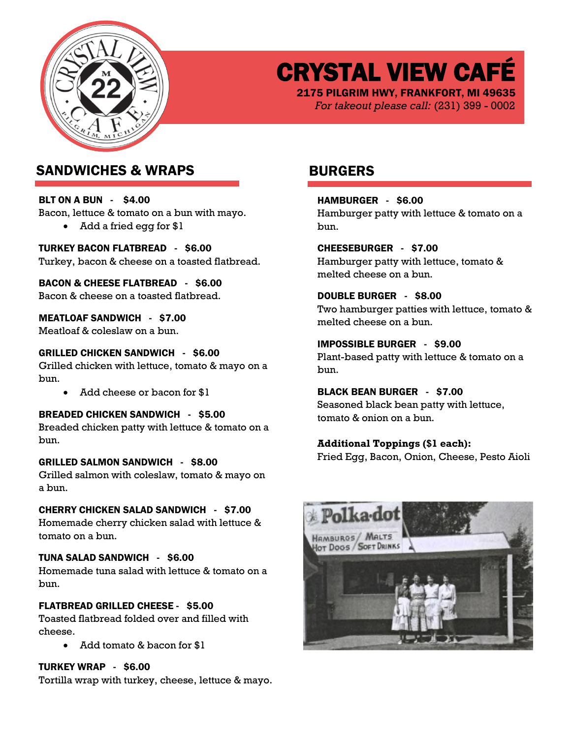

CRYSTAL VIEW CAFÉ

2175 PILGRIM HWY, FRANKFORT, MI 49635 *For takeout please call:* (231) 399 - 0002

## SANDWICHES & WRAPS BURGERS

BLT ON A BUN - \$4.00 Bacon, lettuce & tomato on a bun with mayo. • Add a fried egg for \$1

TURKEY BACON FLATBREAD - \$6.00 Turkey, bacon & cheese on a toasted flatbread.

BACON & CHEESE FLATBREAD - \$6.00 Bacon & cheese on a toasted flatbread.

MEATLOAF SANDWICH - \$7.00 Meatloaf & coleslaw on a bun.

### GRILLED CHICKEN SANDWICH - \$6.00

Grilled chicken with lettuce, tomato & mayo on a bun.

• Add cheese or bacon for \$1

BREADED CHICKEN SANDWICH - \$5.00 Breaded chicken patty with lettuce & tomato on a bun.

GRILLED SALMON SANDWICH - \$8.00 Grilled salmon with coleslaw, tomato & mayo on a bun.

CHERRY CHICKEN SALAD SANDWICH - \$7.00

Homemade cherry chicken salad with lettuce & tomato on a bun.

TUNA SALAD SANDWICH - \$6.00 Homemade tuna salad with lettuce & tomato on a bun.

## FLATBREAD GRILLED CHEESE - \$5.00

Toasted flatbread folded over and filled with cheese.

• Add tomato & bacon for \$1

## TURKEY WRAP - \$6.00

Tortilla wrap with turkey, cheese, lettuce & mayo.

HAMBURGER - \$6.00 Hamburger patty with lettuce & tomato on a bun.

CHEESEBURGER - \$7.00 Hamburger patty with lettuce, tomato & melted cheese on a bun.

DOUBLE BURGER - \$8.00 Two hamburger patties with lettuce, tomato & melted cheese on a bun.

IMPOSSIBLE BURGER - \$9.00 Plant-based patty with lettuce & tomato on a bun.

BLACK BEAN BURGER - \$7.00 Seasoned black bean patty with lettuce, tomato & onion on a bun.

**Additional Toppings (\$1 each):** Fried Egg, Bacon, Onion, Cheese, Pesto Aioli